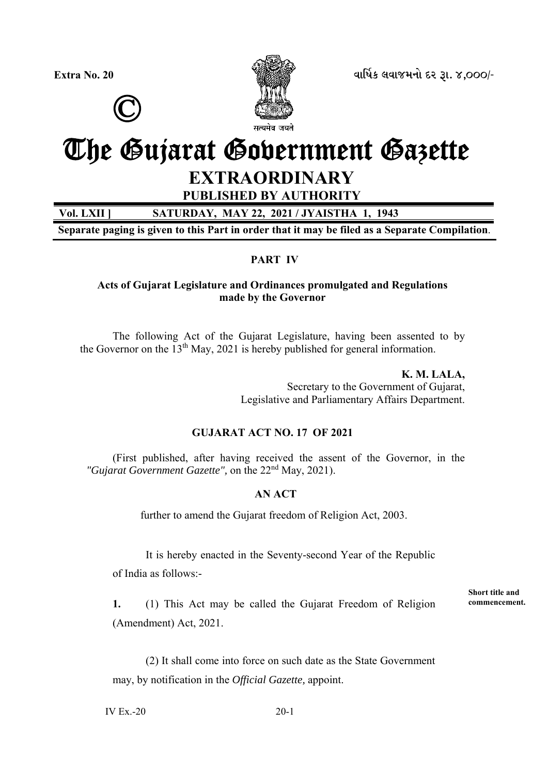



**Extra No. 20 äëìæýÀ áäëÉÜÞù Øß wë. 4,000/-**

# The Gujarat Government Gazette

## **EXTRAORDINARY**

**PUBLISHED BY AUTHORITY** 

**Vol. LXII ] SATURDAY, MAY 22, 2021 / JYAISTHA 1, 1943** 

**Separate paging is given to this Part in order that it may be filed as a Separate Compilation**.

### **PART IV**

#### **Acts of Gujarat Legislature and Ordinances promulgated and Regulations made by the Governor**

 The following Act of the Gujarat Legislature, having been assented to by the Governor on the  $13<sup>th</sup>$  May, 2021 is hereby published for general information.

> **K. M. LALA,**  Secretary to the Government of Gujarat, Legislative and Parliamentary Affairs Department.

#### **GUJARAT ACT NO. 17 OF 2021**

 (First published, after having received the assent of the Governor, in the *"Gujarat Government Gazette",* on the 22nd May, 2021).

#### **AN ACT**

further to amend the Gujarat freedom of Religion Act, 2003.

It is hereby enacted in the Seventy-second Year of the Republic

of India as follows:-

**1.** (1) This Act may be called the Gujarat Freedom of Religion (Amendment) Act, 2021.

 (2) It shall come into force on such date as the State Government may, by notification in the *Official Gazette,* appoint.

 $IV Ex.-20$  20-1

**Short title and commencement.**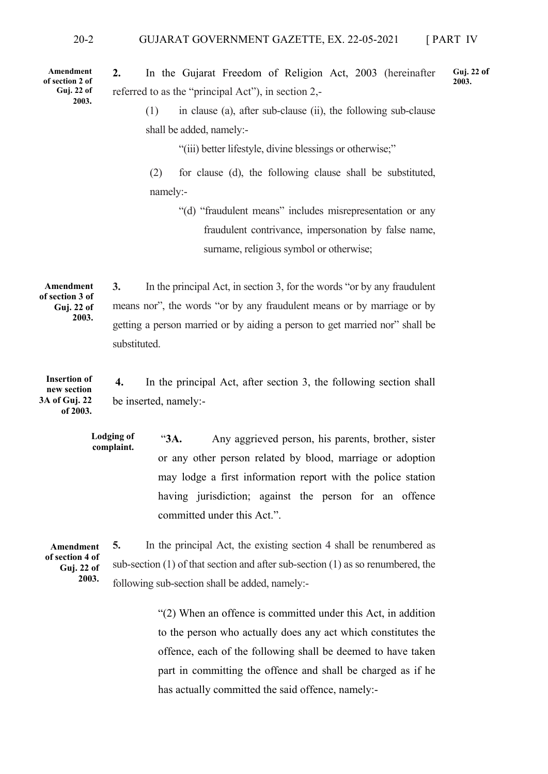**Amendment of section 2 of Guj. 22 of 2003.** 

**2.** In the Gujarat Freedom of Religion Act, 2003 (hereinafter referred to as the "principal Act"), in section 2,- **Guj. 22 of 2003.** 

 (1) in clause (a), after sub-clause (ii), the following sub-clause shall be added, namely:-

"(iii) better lifestyle, divine blessings or otherwise;"

 (2) for clause (d), the following clause shall be substituted, namely:-

> "(d) "fraudulent means" includes misrepresentation or any fraudulent contrivance, impersonation by false name, surname, religious symbol or otherwise;

**3.** In the principal Act, in section 3, for the words "or by any fraudulent means nor", the words "or by any fraudulent means or by marriage or by getting a person married or by aiding a person to get married nor" shall be substituted. **Amendment of section 3 of Guj. 22 of 2003.** 

**4.** In the principal Act, after section 3, the following section shall be inserted, namely:- **Insertion of new section 3A of Guj. 22 of 2003.** 

> "**3A.** Any aggrieved person, his parents, brother, sister or any other person related by blood, marriage or adoption may lodge a first information report with the police station having jurisdiction; against the person for an offence committed under this Act.". **Lodging of complaint.**

**Amendment of section 4 of Guj. 22 of 2003.** 

**5.** In the principal Act, the existing section 4 shall be renumbered as sub-section (1) of that section and after sub-section (1) as so renumbered, the following sub-section shall be added, namely:-

> "(2) When an offence is committed under this Act, in addition to the person who actually does any act which constitutes the offence, each of the following shall be deemed to have taken part in committing the offence and shall be charged as if he has actually committed the said offence, namely:-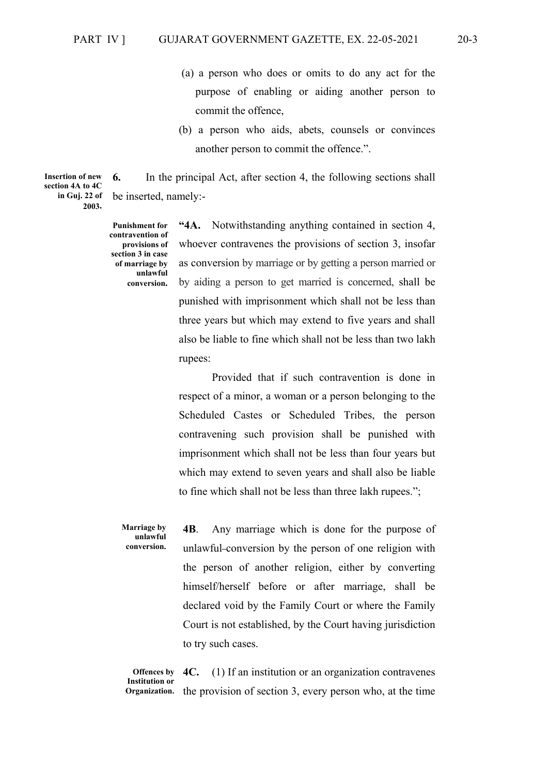- (a) a person who does or omits to do any act for the purpose of enabling or aiding another person to commit the offence,
- (b) a person who aids, abets, counsels or convinces another person to commit the offence.".

**6.** In the principal Act, after section 4, the following sections shall be inserted, namely:-

**Punishment for contravention of provisions of section 3 in case of marriage by unlawful conversion.**

**"4A.** Notwithstanding anything contained in section 4, whoever contravenes the provisions of section 3, insofar as conversion by marriage or by getting a person married or by aiding a person to get married is concerned, shall be punished with imprisonment which shall not be less than three years but which may extend to five years and shall also be liable to fine which shall not be less than two lakh rupees:

 Provided that if such contravention is done in respect of a minor, a woman or a person belonging to the Scheduled Castes or Scheduled Tribes, the person contravening such provision shall be punished with imprisonment which shall not be less than four years but which may extend to seven years and shall also be liable to fine which shall not be less than three lakh rupees.";

**4B**. Any marriage which is done for the purpose of unlawful-conversion by the person of one religion with the person of another religion, either by converting himself/herself before or after marriage, shall be declared void by the Family Court or where the Family Court is not established, by the Court having jurisdiction to try such cases. **Marriage by unlawful conversion.** 

**4C.** (1) If an institution or an organization contravenes Organization. the provision of section 3, every person who, at the time **Offences by Institution or** 

**Insertion of new section 4A to 4C in Guj. 22 of 2003.**